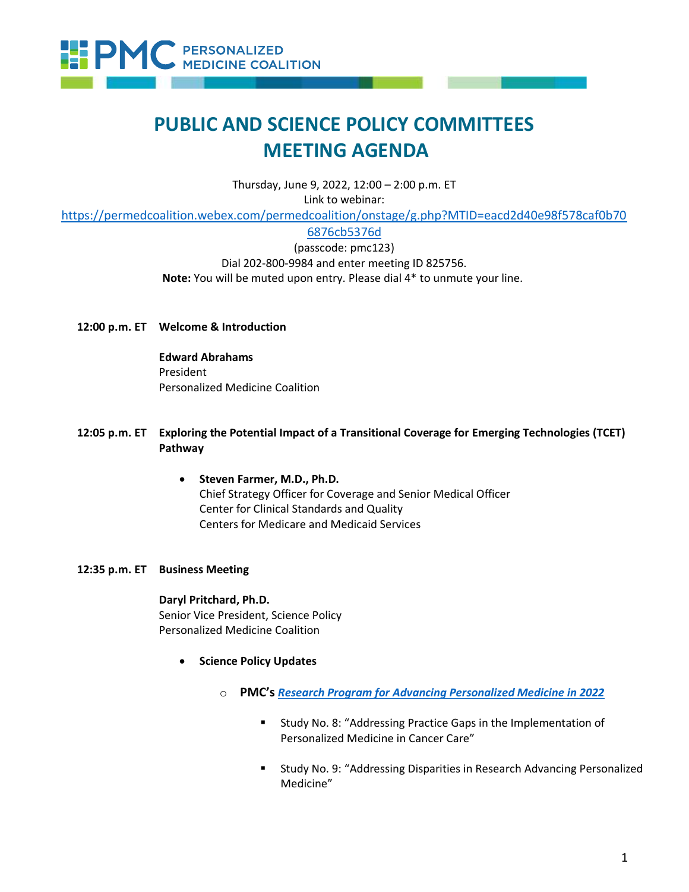

# **PUBLIC AND SCIENCE POLICY COMMITTEES MEETING AGENDA**

Thursday, June 9, 2022, 12:00 – 2:00 p.m. ET Link to webinar:

[https://permedcoalition.webex.com/permedcoalition/onstage/g.php?MTID=eacd2d40e98f578caf0b70](https://permedcoalition.webex.com/permedcoalition/onstage/g.php?MTID=eacd2d40e98f578caf0b706876cb5376d)

[6876cb5376d](https://permedcoalition.webex.com/permedcoalition/onstage/g.php?MTID=eacd2d40e98f578caf0b706876cb5376d)

(passcode: pmc123) Dial 202-800-9984 and enter meeting ID 825756. **Note:** You will be muted upon entry. Please dial 4\* to unmute your line.

## **12:00 p.m. ET Welcome & Introduction**

**Edward Abrahams** President Personalized Medicine Coalition

# **12:05 p.m. ET Exploring the Potential Impact of a Transitional Coverage for Emerging Technologies (TCET) Pathway**

• **Steven Farmer, M.D., Ph.D.** Chief Strategy Officer for Coverage and Senior Medical Officer Center for Clinical Standards and Quality Centers for Medicare and Medicaid Services

# **12:35 p.m. ET Business Meeting**

#### **Daryl Pritchard, Ph.D.**

Senior Vice President, Science Policy Personalized Medicine Coalition

- **Science Policy Updates**
	- o **PMC's** *[Research Program for Advancing Personalized Medicine in 2022](https://www.personalizedmedicinecoalition.org/Userfiles/PMC-Corporate/file/Research_Program_20222.pdf)*
		- Study No. 8: "Addressing Practice Gaps in the Implementation of Personalized Medicine in Cancer Care"
		- Study No. 9: "Addressing Disparities in Research Advancing Personalized Medicine"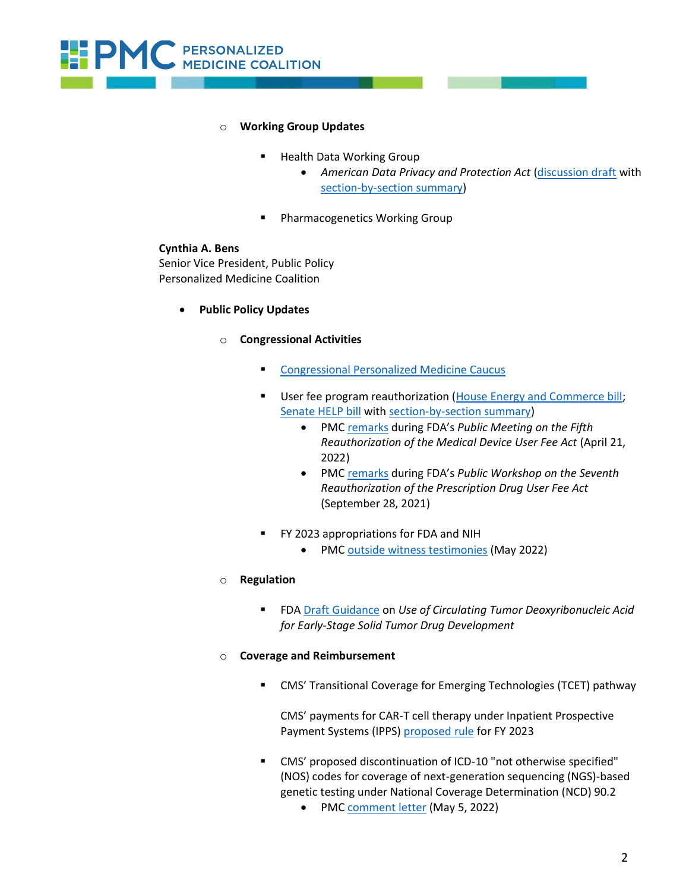

## **Working Group Updates**

- **Health Data Working Group** 
	- *American Data Privacy and Protection Act* [\(discussion draft](https://republicans-energycommerce.house.gov/wp-content/uploads/2022/06/Bipartisan_Privacy_Discussion_Draft_Bill_Text54.pdf) with [section-by-section summary\)](https://republicans-energycommerce.house.gov/wp-content/uploads/2022/06/Bipartisan_Privacy_Discussion_Draft_Section_by_Section39.pdf)
- Pharmacogenetics Working Group

## **Cynthia A. Bens**

Senior Vice President, Public Policy Personalized Medicine Coalition

- **Public Policy Updates**
	- o **Congressional Activities**
		- **Exercise [Congressional Personalized Medicine Caucus](http://www.personalizedmedicinecoalition.org/Congressional_Caucus/OriginsPurpose)**
		- User fee program reauthorization [\(House Energy and Commerce bill;](https://energycommerce.house.gov/sites/democrats.energycommerce.house.gov/files/documents/H7667-cpt_01_xml.pdf) [Senate HELP bill](https://www.help.senate.gov/imo/media/doc/FDASLA%20--%20Introduced%20May%2026,%202022%20--%20TAM22997.pdf) wit[h section-by-section summary\)](https://www.help.senate.gov/imo/media/doc/Section%20by%20Section%20--%20FDASLA%20Introduced%20--%20May%2026%2022.pdf)
			- PMC [remarks](https://www.personalizedmedicinecoalition.org/Userfiles/PMC-Corporate/file/MDUFA_V_comments_4.21.22.pdf) during FDA's *Public Meeting on the Fifth Reauthorization of the Medical Device User Fee Act* (April 21, 2022)
			- PM[C remarks](https://www.personalizedmedicinecoalition.org/Userfiles/PMC-Corporate/file/PDUFA_VII_Goals_Letter_Comments_Docket_Submission_10.28.21.pdf) during FDA's *Public Workshop on the Seventh Reauthorization of the Prescription Drug User Fee Act*  (September 28, 2021)
		- FY 2023 appropriations for FDA and NIH
			- PM[C outside witness testimonies](https://www.personalizedmedicinecoalition.org/Policy/Research_Funding) (May 2022)

# o **Regulation**

■ FDA [Draft Guidance](https://www.fda.gov/media/158072/download) on Use of Circulating Tumor Deoxyribonucleic Acid *for Early-Stage Solid Tumor Drug Development*

## o **Coverage and Reimbursement**

■ CMS' Transitional Coverage for Emerging Technologies (TCET) pathway

CMS' payments for CAR-T cell therapy under Inpatient Prospective Payment Systems (IPPS) [proposed rule](https://www.federalregister.gov/documents/2022/05/10/2022-08268/medicare-program-hospital-inpatient-prospective-payment-systems-for-acute-care-hospitals-and-the) for FY 2023

- CMS' proposed discontinuation of ICD-10 "not otherwise specified" (NOS) codes for coverage of next-generation sequencing (NGS)-based genetic testing under National Coverage Determination (NCD) 90.2
	- PM[C comment letter](https://www.personalizedmedicinecoalition.org/Userfiles/PMC-Corporate/file/CMS_comment_letter.pdf) (May 5, 2022)